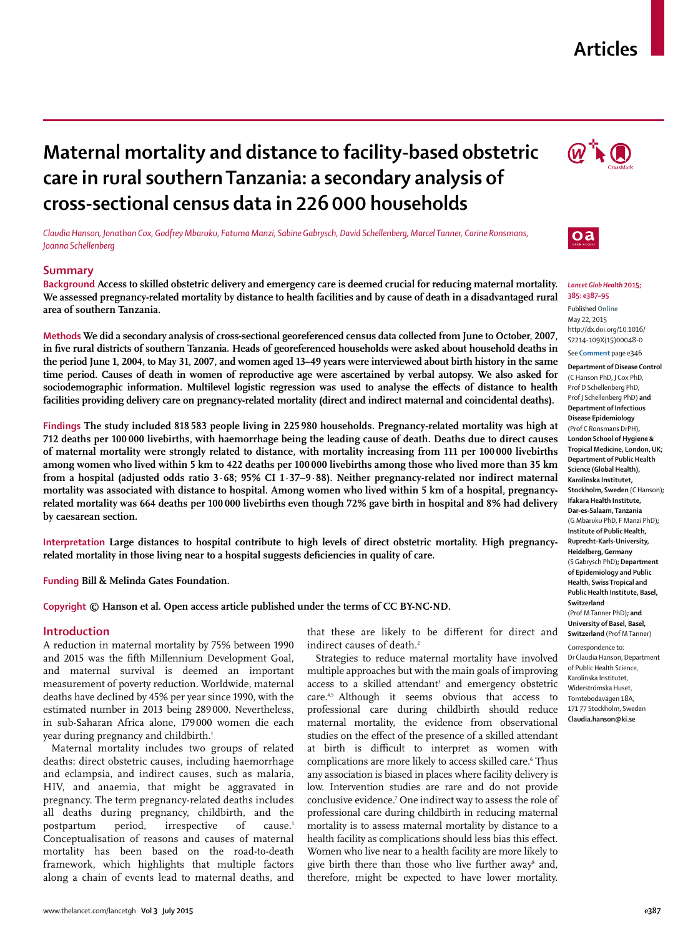## **Articles**

# **Maternal mortality and distance to facility-based obstetric care in rural southern Tanzania: a secondary analysis of cross-sectional census data in 226 000 households**

*Claudia Hanson, Jonathan Cox, Godfrey Mbaruku, Fatuma Manzi, Sabine Gabrysch, David Schellenberg, Marcel Tanner, Carine Ronsmans, Joanna Schellenberg* 

## **Summary**

**Background Access to skilled obstetric delivery and emergency care is deemed crucial for reducing maternal mortality. We assessed pregnancy-related mortality by distance to health facilities and by cause of death in a disadvantaged rural area of southern Tanzania.**

**Methods We did a secondary analysis of cross-sectional georeferenced census data collected from June to October, 2007,**  in five rural districts of southern Tanzania. Heads of georeferenced households were asked about household deaths in **the period June 1, 2004, to May 31, 2007, and women aged 13–49 years were interviewed about birth history in the same time period. Causes of death in women of reproductive age were ascertained by verbal autopsy. We also asked for**  sociodemographic information. Multilevel logistic regression was used to analyse the effects of distance to health **facilities providing delivery care on pregnancy-related mortality (direct and indirect maternal and coincidental deaths).**

**Findings The study included 818 583 people living in 225 980 households. Pregnancy-related mortality was high at 712 deaths per 100 000 livebirths, with haemorrhage being the leading cause of death. Deaths due to direct causes of maternal mortality were strongly related to distance, with mortality increasing from 111 per 100 000 livebirths among women who lived within 5 km to 422 deaths per 100 000 livebirths among those who lived more than 35 km from a hospital (adjusted odds ratio 3·68; 95% CI 1·37–9·88). Neither pregnancy-related nor indirect maternal mortality was associated with distance to hospital. Among women who lived within 5 km of a hospital, pregnancyrelated mortality was 664 deaths per 100 000 livebirths even though 72% gave birth in hospital and 8% had delivery by caesarean section.**

**Interpretation Large distances to hospital contribute to high levels of direct obstetric mortality. High pregnancy**related mortality in those living near to a hospital suggests deficiencies in quality of care.

**Funding Bill & Melinda Gates Foundation.**

**Copyright © Hanson et al. Open access article published under the terms of CC BY-NC-ND.**

## **Introduction**

A reduction in maternal mortality by 75% between 1990 and 2015 was the fifth Millennium Development Goal, and maternal survival is deemed an important measurement of poverty reduction. Worldwide, maternal deaths have declined by 45% per year since 1990, with the estimated number in 2013 being 289 000. Nevertheless, in sub-Saharan Africa alone, 179 000 women die each year during pregnancy and childbirth.<sup>1</sup>

Maternal mortality includes two groups of related deaths: direct obstetric causes, including haemorrhage and eclampsia, and indirect causes, such as malaria, HIV, and anaemia, that might be aggravated in pregnancy. The term pregnancy-related deaths includes all deaths during pregnancy, childbirth, and the postpartum period, irrespective of cause.<sup>1</sup> Conceptualisation of reasons and causes of maternal mortality has been based on the road-to-death framework, which highlights that multiple factors along a chain of events lead to maternal deaths, and that these are likely to be different for direct and indirect causes of death.<sup>2</sup>

Strategies to reduce maternal mortality have involved multiple approaches but with the main goals of improving access to a skilled attendant<sup>3</sup> and emergency obstetric care.4,5 Although it seems obvious that access to professional care during childbirth should reduce maternal mortality, the evidence from observational studies on the effect of the presence of a skilled attendant at birth is difficult to interpret as women with complications are more likely to access skilled care.6 Thus any association is biased in places where facility delivery is low. Intervention studies are rare and do not provide conclusive evidence.7 One indirect way to assess the role of professional care during childbirth in reducing maternal mortality is to assess maternal mortality by distance to a health facility as complications should less bias this effect. Women who live near to a health facility are more likely to give birth there than those who live further away<sup>8</sup> and, therefore, might be expected to have lower mortality.





#### *Lancet Glob Health* **2015; 385: e387–95**

Published **Online** May 22, 2015 http://dx.doi.org/10.1016/ S2214-109X(15)00048-0

See **Comment** page e346

**Department of Disease Control** (C Hanson PhD, J Cox PhD, Prof D Schellenberg PhD, Prof J Schellenberg PhD) **and Department of Infectious Disease Epidemiology** (Prof C Ronsmans DrPH)**, London School of Hygiene & Tropical Medicine, London, UK; Department of Public Health Science (Global Health), Karolinska Institutet, Stockholm, Sweden** (C Hanson)**; Ifakara Health Institute, Dar-es-Salaam, Tanzania** (G Mbaruku PhD, F Manzi PhD)**; Institute of Public Health, Ruprecht-Karls-University, Heidelberg, Germany** (S Gabrysch PhD)**; Department of Epidemiology and Public Health, Swiss Tropical and Public Health Institute, Basel, Switzerland** (Prof M Tanner PhD)**; and University of Basel, Basel, Switzerland** (Prof M Tanner) Correspondence to: Dr Claudia Hanson, Department of Public Health Science, Karolinska Institutet, WiderstrÖmska Huset, Tomtebodavägen 18A, 171 77 Stockholm, Sweden

**Claudia.hanson@ki.se**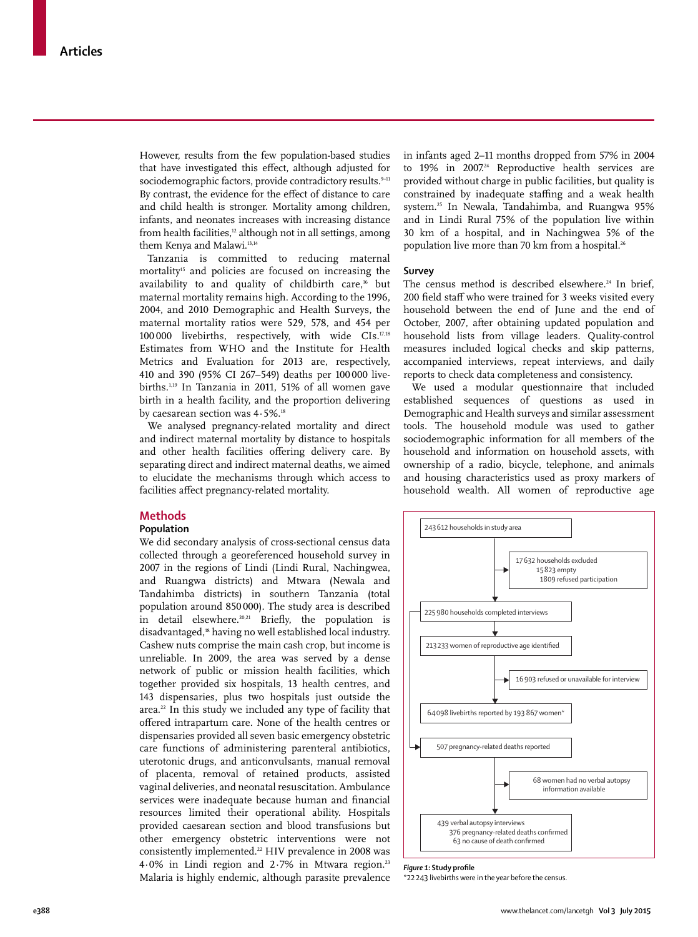However, results from the few population-based studies that have investigated this effect, although adjusted for sociodemographic factors, provide contradictory results.<sup>9-11</sup> By contrast, the evidence for the effect of distance to care and child health is stronger. Mortality among children, infants, and neonates increases with increasing distance from health facilities, $12$  although not in all settings, among them Kenya and Malawi.<sup>13,14</sup>

Tanzania is committed to reducing maternal mortality<sup>15</sup> and policies are focused on increasing the availability to and quality of childbirth care,<sup>16</sup> but maternal mortality remains high. According to the 1996, 2004, and 2010 Demographic and Health Surveys, the maternal mortality ratios were 529, 578, and 454 per 100 000 livebirths, respectively, with wide CIs.17,18 Estimates from WHO and the Institute for Health Metrics and Evaluation for 2013 are, respectively, 410 and 390 (95% CI 267–549) deaths per 100 000 livebirths.1,19 In Tanzania in 2011, 51% of all women gave birth in a health facility, and the proportion delivering by caesarean section was 4.5%.<sup>18</sup>

We analysed pregnancy-related mortality and direct and indirect maternal mortality by distance to hospitals and other health facilities offering delivery care. By separating direct and indirect maternal deaths, we aimed to elucidate the mechanisms through which access to facilities affect pregnancy-related mortality.

## **Methods**

#### **Population**

We did secondary analysis of cross-sectional census data collected through a georeferenced household survey in 2007 in the regions of Lindi (Lindi Rural, Nachingwea, and Ruangwa districts) and Mtwara (Newala and Tandahimba districts) in southern Tanzania (total population around 850 000). The study area is described in detail elsewhere.<sup>20,21</sup> Briefly, the population is disadvantaged,<sup>18</sup> having no well established local industry. Cashew nuts comprise the main cash crop, but income is unreliable. In 2009, the area was served by a dense network of public or mission health facilities, which together provided six hospitals, 13 health centres, and 143 dispensaries, plus two hospitals just outside the area.<sup>22</sup> In this study we included any type of facility that offered intrapartum care. None of the health centres or dispensaries provided all seven basic emergency obstetric care functions of administering parenteral antibiotics, uterotonic drugs, and anticonvulsants, manual removal of placenta, removal of retained products, assisted vaginal deliveries, and neonatal resuscitation. Ambulance services were inadequate because human and financial resources limited their operational ability. Hospitals provided caesarean section and blood transfusions but other emergency obstetric interventions were not consistently implemented.<sup>22</sup> HIV prevalence in 2008 was  $4.0\%$  in Lindi region and  $2.7\%$  in Mtwara region.<sup>23</sup> Malaria is highly endemic, although parasite prevalence

in infants aged 2–11 months dropped from 57% in 2004 to 19% in 2007.<sup>24</sup> Reproductive health services are provided without charge in public facilities, but quality is constrained by inadequate staffing and a weak health system.25 In Newala, Tandahimba, and Ruangwa 95% and in Lindi Rural 75% of the population live within 30 km of a hospital, and in Nachingwea 5% of the population live more than 70 km from a hospital.<sup>26</sup>

#### **Survey**

The census method is described elsewhere.<sup>24</sup> In brief, 200 field staff who were trained for 3 weeks visited every household between the end of June and the end of October, 2007, after obtaining updated population and household lists from village leaders. Quality-control measures included logical checks and skip patterns, accompanied interviews, repeat interviews, and daily reports to check data completeness and consistency.

We used a modular questionnaire that included established sequences of questions as used in Demographic and Health surveys and similar assessment tools. The household module was used to gather sociodemographic information for all members of the household and information on household assets, with ownership of a radio, bicycle, telephone, and animals and housing characteristics used as proxy markers of household wealth. All women of reproductive age



**Figure 1: Study profile** 

\*22 243 livebirths were in the year before the census.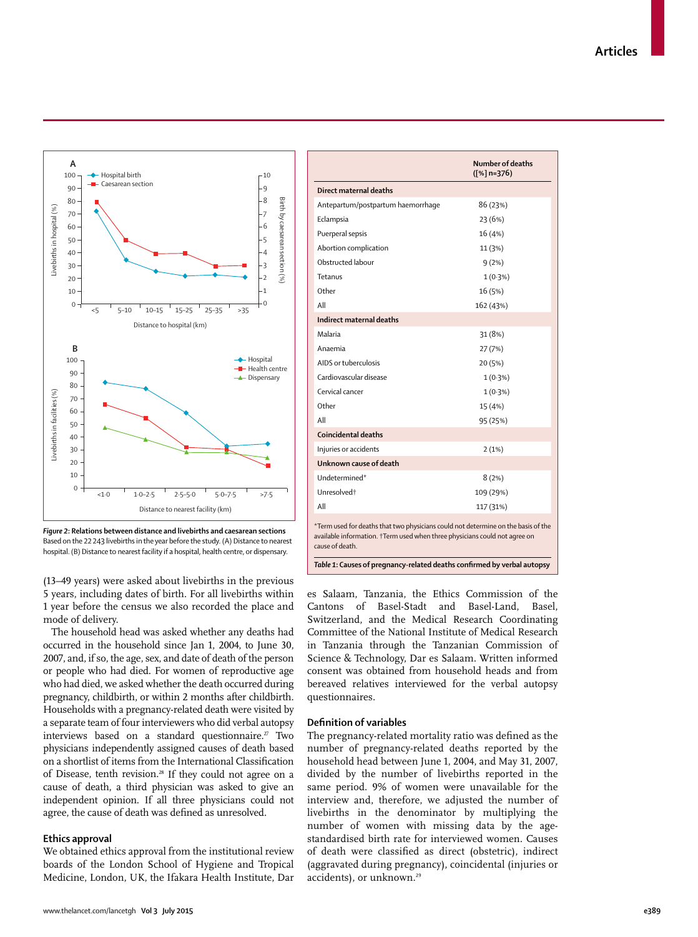

*Figure 2***: Relations between distance and livebirths and caesarean sections** Based on the 22 243 livebirths in the year before the study. (A) Distance to nearest hospital. (B) Distance to nearest facility if a hospital, health centre, or dispensary.

(13–49 years) were asked about livebirths in the previous 5 years, including dates of birth. For all livebirths within 1 year before the census we also recorded the place and mode of delivery.

The household head was asked whether any deaths had occurred in the household since Jan 1, 2004, to June 30, 2007, and, if so, the age, sex, and date of death of the person or people who had died. For women of reproductive age who had died, we asked whether the death occurred during pregnancy, childbirth, or within 2 months after childbirth. Households with a pregnancy-related death were visited by a separate team of four interviewers who did verbal autopsy interviews based on a standard questionnaire.<sup>27</sup> Two physicians independently assigned causes of death based on a shortlist of items from the International Classification of Disease, tenth revision.<sup>28</sup> If they could not agree on a cause of death, a third physician was asked to give an independent opinion. If all three physicians could not agree, the cause of death was defined as unresolved.

#### **Ethics approval**

We obtained ethics approval from the institutional review boards of the London School of Hygiene and Tropical Medicine, London, UK, the Ifakara Health Institute, Dar

|                                                                                                                                                                                    | <b>Number of deaths</b><br>$([%]n=376)$ |  |  |  |  |  |
|------------------------------------------------------------------------------------------------------------------------------------------------------------------------------------|-----------------------------------------|--|--|--|--|--|
| Direct maternal deaths                                                                                                                                                             |                                         |  |  |  |  |  |
| Antepartum/postpartum haemorrhage                                                                                                                                                  | 86 (23%)                                |  |  |  |  |  |
| Eclampsia                                                                                                                                                                          | 23 (6%)                                 |  |  |  |  |  |
| Puerperal sepsis                                                                                                                                                                   | 16 (4%)                                 |  |  |  |  |  |
| Abortion complication                                                                                                                                                              | 11 (3%)                                 |  |  |  |  |  |
| Obstructed labour                                                                                                                                                                  | 9(2%)                                   |  |  |  |  |  |
| Tetanus                                                                                                                                                                            | $1(0.3\%)$                              |  |  |  |  |  |
| Other                                                                                                                                                                              | 16 (5%)                                 |  |  |  |  |  |
| All                                                                                                                                                                                | 162 (43%)                               |  |  |  |  |  |
| Indirect maternal deaths                                                                                                                                                           |                                         |  |  |  |  |  |
| Malaria                                                                                                                                                                            | 31 (8%)                                 |  |  |  |  |  |
| Anaemia                                                                                                                                                                            | 27(7%)                                  |  |  |  |  |  |
| AIDS or tuberculosis                                                                                                                                                               | 20 (5%)                                 |  |  |  |  |  |
| Cardiovascular disease                                                                                                                                                             | $1(0.3\%)$                              |  |  |  |  |  |
| Cervical cancer                                                                                                                                                                    | $1(0.3\%)$                              |  |  |  |  |  |
| Other                                                                                                                                                                              | 15 (4%)                                 |  |  |  |  |  |
| All                                                                                                                                                                                | 95 (25%)                                |  |  |  |  |  |
| Coincidental deaths                                                                                                                                                                |                                         |  |  |  |  |  |
| Injuries or accidents                                                                                                                                                              | 2(1%)                                   |  |  |  |  |  |
| Unknown cause of death                                                                                                                                                             |                                         |  |  |  |  |  |
| Undetermined*                                                                                                                                                                      | 8(2%)                                   |  |  |  |  |  |
| Unresolved <sup>+</sup>                                                                                                                                                            | 109 (29%)                               |  |  |  |  |  |
| All                                                                                                                                                                                | 117 (31%)                               |  |  |  |  |  |
| *Term used for deaths that two physicians could not determine on the basis of the<br>available information. †Term used when three physicians could not agree on<br>cause of death. |                                         |  |  |  |  |  |
| Table 1: Causes of pregnancy-related deaths confirmed by verbal autopsy                                                                                                            |                                         |  |  |  |  |  |

es Salaam, Tanzania, the Ethics Commission of the Cantons of Basel-Stadt and Basel-Land, Basel, Switzerland, and the Medical Research Coordinating Committee of the National Institute of Medical Research in Tanzania through the Tanzanian Commission of Science & Technology, Dar es Salaam. Written informed consent was obtained from household heads and from bereaved relatives interviewed for the verbal autopsy questionnaires.

#### **Defi nition of variables**

The pregnancy-related mortality ratio was defined as the number of pregnancy-related deaths reported by the household head between June 1, 2004, and May 31, 2007, divided by the number of livebirths reported in the same period. 9% of women were unavailable for the interview and, therefore, we adjusted the number of livebirths in the denominator by multiplying the number of women with missing data by the agestandardised birth rate for interviewed women. Causes of death were classified as direct (obstetric), indirect (aggravated during pregnancy), coincidental (injuries or accidents), or unknown.<sup>29</sup>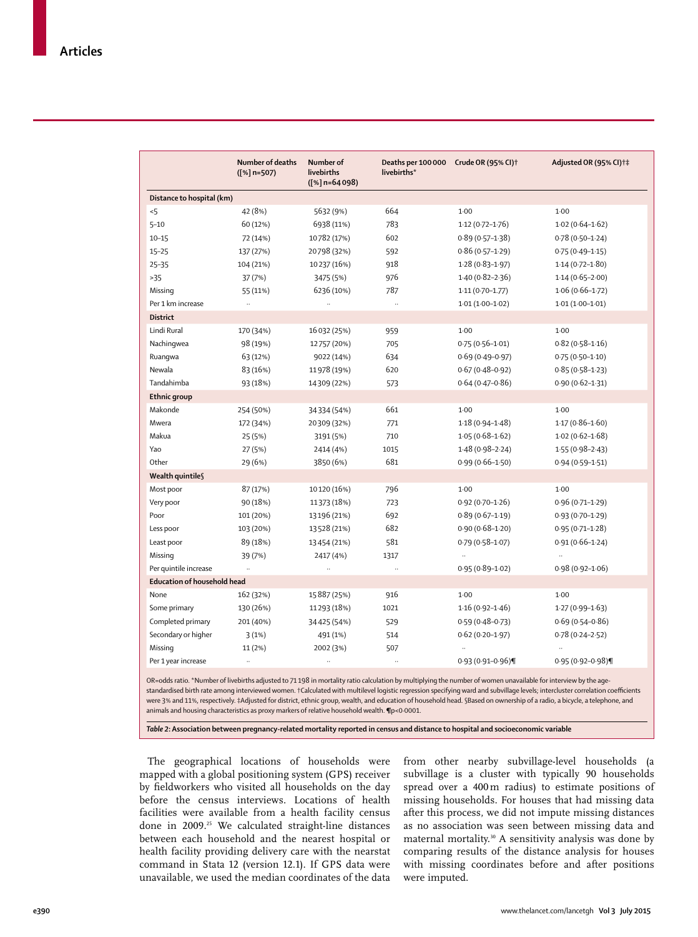|                                    | Number of deaths<br>$([%]n=507)$ | Number of<br>livebirths<br>$([%]n=64098)$ | Deaths per 100 000 Crude OR (95% CI) <sup>+</sup><br>livebirths* |                     | Adjusted OR (95% CI)+‡ |
|------------------------------------|----------------------------------|-------------------------------------------|------------------------------------------------------------------|---------------------|------------------------|
| Distance to hospital (km)          |                                  |                                           |                                                                  |                     |                        |
| 5                                  | 42 (8%)                          | 5632 (9%)                                 | 664                                                              | 1.00                | $1-00$                 |
| $5 - 10$                           | 60 (12%)                         | 6938 (11%)                                | 783                                                              | $1.12(0.72 - 1.76)$ | $1.02(0.64 - 1.62)$    |
| $10 - 15$                          | 72 (14%)                         | 10782 (17%)                               | 602                                                              | $0.89(0.57 - 1.38)$ | $0.78(0.50-1.24)$      |
| $15 - 25$                          | 137 (27%)                        | 20798 (32%)                               | 592                                                              | $0.86(0.57-1.29)$   | $0.75(0.49 - 1.15)$    |
| $25 - 35$                          | 104 (21%)                        | 10237 (16%)                               | 918                                                              | $1.28(0.83 - 1.97)$ | $1.14(0.72 - 1.80)$    |
| >35                                | 37 (7%)                          | 3475 (5%)                                 | 976                                                              | $1.40(0.82 - 2.36)$ | $1.14(0.65 - 2.00)$    |
| Missing                            | 55 (11%)                         | 6236 (10%)                                | 787                                                              | $1.11(0.70 - 1.77)$ | $1.06(0.66 - 1.72)$    |
| Per 1 km increase                  | $\ddotsc$                        | $\ddotsc$                                 | $\ddotsc$                                                        | $1.01(1.00-1.02)$   | $1.01(1.00-1.01)$      |
| <b>District</b>                    |                                  |                                           |                                                                  |                     |                        |
| Lindi Rural                        | 170 (34%)                        | 16 032 (25%)                              | 959                                                              | 1.00                | $1-00$                 |
| Nachingwea                         | 98 (19%)                         | 12757 (20%)                               | 705                                                              | $0.75(0.56 - 1.01)$ | $0.82(0.58 - 1.16)$    |
| Ruangwa                            | 63 (12%)                         | 9022 (14%)                                | 634                                                              | $0.69(0.49 - 0.97)$ | $0.75(0.50-1.10)$      |
| Newala                             | 83 (16%)                         | 11978 (19%)                               | 620                                                              | $0.67(0.48 - 0.92)$ | $0.85(0.58 - 1.23)$    |
| Tandahimba                         | 93 (18%)                         | 14309 (22%)                               | 573                                                              | $0.64(0.47 - 0.86)$ | $0.90(0.62 - 1.31)$    |
| Ethnic group                       |                                  |                                           |                                                                  |                     |                        |
| Makonde                            | 254 (50%)                        | 34334 (54%)                               | 661                                                              | $1-00$              | $1-00$                 |
| Mwera                              | 172 (34%)                        | 20309 (32%)                               | 771                                                              | $1.18(0.94 - 1.48)$ | $1.17(0.86 - 1.60)$    |
| Makua                              | 25 (5%)                          | 3191 (5%)                                 | 710                                                              | $1.05(0.68 - 1.62)$ | $1.02(0.62 - 1.68)$    |
| Yao                                | 27 (5%)                          | 2414 (4%)                                 | 1015                                                             | $1.48(0.98-2.24)$   | $1.55(0.98-2.43)$      |
| Other                              | 29 (6%)                          | 3850 (6%)                                 | 681                                                              | $0.99(0.66 - 1.50)$ | $0.94(0.59 - 1.51)$    |
| Wealth quintile§                   |                                  |                                           |                                                                  |                     |                        |
| Most poor                          | 87 (17%)                         | 10120 (16%)                               | 796                                                              | $1-00$              | 1.00                   |
| Very poor                          | 90 (18%)                         | 11373 (18%)                               | 723                                                              | $0.92(0.70 - 1.26)$ | $0.96(0.71 - 1.29)$    |
| Poor                               | 101 (20%)                        | 13196 (21%)                               | 692                                                              | $0.89(0.67 - 1.19)$ | $0.93(0.70 - 1.29)$    |
| Less poor                          | 103 (20%)                        | 13528 (21%)                               | 682                                                              | $0.90(0.68 - 1.20)$ | $0.95(0.71 - 1.28)$    |
| Least poor                         | 89 (18%)                         | 13454 (21%)                               | 581                                                              | $0.79(0.58 - 1.07)$ | $0.91(0.66 - 1.24)$    |
| Missing                            | 39 (7%)                          | 2417 (4%)                                 | 1317                                                             | $\ldots$            |                        |
| Per quintile increase              | $\ddot{\phantom{a}}$             |                                           | .,                                                               | $0.95(0.89 - 1.02)$ | $0.98(0.92 - 1.06)$    |
| <b>Education of household head</b> |                                  |                                           |                                                                  |                     |                        |
| None                               | 162 (32%)                        | 15887 (25%)                               | 916                                                              | $1-00$              | $1-00$                 |
| Some primary                       | 130 (26%)                        | 11293 (18%)                               | 1021                                                             | $1.16(0.92 - 1.46)$ | $1.27(0.99 - 1.63)$    |
| Completed primary                  | 201 (40%)                        | 34425 (54%)                               | 529                                                              | $0.59(0.48-0.73)$   | $0.69(0.54 - 0.86)$    |
| Secondary or higher                | 3(1%)                            | 491 (1%)                                  | 514                                                              | $0.62(0.20 - 1.97)$ | $0.78(0.24 - 2.52)$    |
| Missing                            | 11 (2%)                          | 2002 (3%)                                 | 507                                                              |                     |                        |
| Per 1 year increase                | $\ldots$                         |                                           |                                                                  | $0.93(0.91 - 0.96)$ | $0.95(0.92 - 0.98)$    |

OR=odds ratio. \*Number of livebirths adjusted to 71 198 in mortality ratio calculation by multiplying the number of women unavailable for interview by the agestandardised birth rate among interviewed women. †Calculated with multilevel logistic regression specifying ward and subvillage levels; intercluster correlation coeffi cients were 3% and 11%, respectively. ‡Adjusted for district, ethnic group, wealth, and education of household head. §Based on ownership of a radio, a bicycle, a telephone, and animals and housing characteristics as proxy markers of relative household wealth. **¶**p<0·0001.

*Table 2***: Association between pregnancy-related mortality reported in census and distance to hospital and socioeconomic variable**

The geographical locations of households were mapped with a global positioning system (GPS) receiver by fieldworkers who visited all households on the day before the census interviews. Locations of health facilities were available from a health facility census done in 2009.25 We calculated straight-line distances between each household and the nearest hospital or health facility providing delivery care with the nearstat command in Stata 12 (version 12.1). If GPS data were unavailable, we used the median coordinates of the data from other nearby subvillage-level households (a subvillage is a cluster with typically 90 households spread over a 400 m radius) to estimate positions of missing households. For houses that had missing data after this process, we did not impute missing distances as no association was seen between missing data and maternal mortality.30 A sensitivity analysis was done by comparing results of the distance analysis for houses with missing coordinates before and after positions were imputed.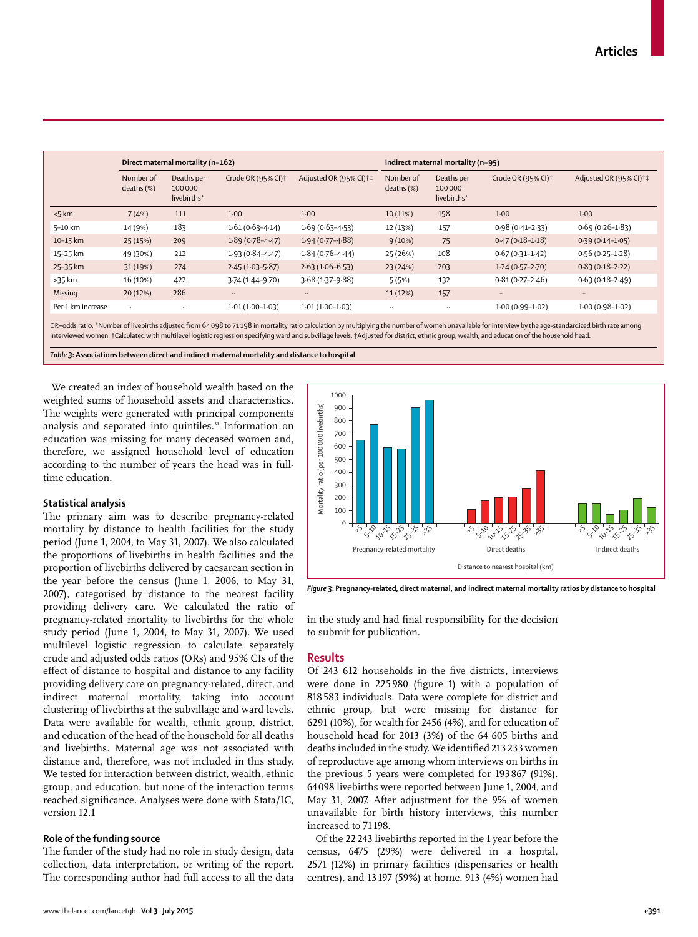|                   | Direct maternal mortality (n=162) |                                     |                                  |                                     | Indirect maternal mortality (n=95) |                                     |                                |                                   |
|-------------------|-----------------------------------|-------------------------------------|----------------------------------|-------------------------------------|------------------------------------|-------------------------------------|--------------------------------|-----------------------------------|
|                   | Number of<br>deaths $(\%)$        | Deaths per<br>100000<br>livebirths* | Crude OR $(95%$ CI) <sup>+</sup> | Adjusted OR (95% CI) <sup>+</sup> ‡ | Number of<br>deaths $(\%)$         | Deaths per<br>100000<br>livebirths* | Crude OR (95% CI) <sup>+</sup> | Adjusted OR (95% CI) <sup>+</sup> |
| < 5 km            | 7(4%)                             | 111                                 | 1.00                             | 1.00                                | 10(11%)                            | 158                                 | 1.00                           | 1.00                              |
| 5-10 km           | 14 (9%)                           | 183                                 | $1.61(0.63 - 4.14)$              | $1.69(0.63 - 4.53)$                 | 12 (13%)                           | 157                                 | $0.98(0.41 - 2.33)$            | $0.69(0.26 - 1.83)$               |
| 10-15 km          | 25 (15%)                          | 209                                 | $1.89(0.78 - 4.47)$              | $1.94(0.77 - 4.88)$                 | 9(10%)                             | 75                                  | $0.47(0.18 - 1.18)$            | $0.39(0.14 - 1.05)$               |
| 15-25 km          | 49 (30%)                          | 212                                 | $1.93(0.84 - 4.47)$              | $1.84(0.76 - 4.44)$                 | 25 (26%)                           | 108                                 | $0.67(0.31-1.42)$              | $0.56(0.25-1.28)$                 |
| 25-35 km          | 31 (19%)                          | 274                                 | $2.45(1.03 - 5.87)$              | $2.63(1.06-6.53)$                   | 23 (24%)                           | 203                                 | $1.24(0.57-2.70)$              | $0.83(0.18-2.22)$                 |
| >35 km            | 16 (10%)                          | 422                                 | $3.74(1.44 - 9.70)$              | $3.68(1.37 - 9.88)$                 | 5(5%)                              | 132                                 | $0.81(0.27 - 2.46)$            | $0.63(0.18-2.49)$                 |
| Missing           | 20(12%)                           | 286                                 | $\ldots$                         | $\ldots$                            | 11(12%)                            | 157                                 | $\ldots$                       | $\ddotsc$                         |
| Per 1 km increase | $\ddotsc$                         | $\ddotsc$                           | $1.01(1.00-1.03)$                | $1.01(1.00-1.03)$                   | $\ddotsc$                          | $\ddotsc$                           | $1.00(0.99 - 1.02)$            | $1.00(0.98 - 1.02)$               |

OR=odds ratio. \*Number of livebirths adjusted from 64 098 to 71 198 in mortality ratio calculation by multiplying the number of women unavailable for interview by the age-standardized birth rate among interviewed women. †Calculated with multilevel logistic regression specifying ward and subvillage levels. ‡Adjusted for district, ethnic group, wealth, and education of the household head.

*Table 3***: Associations between direct and indirect maternal mortality and distance to hospital**

We created an index of household wealth based on the weighted sums of household assets and characteristics. The weights were generated with principal components analysis and separated into quintiles.<sup>31</sup> Information on education was missing for many deceased women and, therefore, we assigned household level of education according to the number of years the head was in fulltime education.

#### **Statistical analysis**

The primary aim was to describe pregnancy-related mortality by distance to health facilities for the study period (June 1, 2004, to May 31, 2007). We also calculated the proportions of livebirths in health facilities and the proportion of livebirths delivered by caesarean section in the year before the census (June 1, 2006, to May 31, 2007), categorised by distance to the nearest facility providing delivery care. We calculated the ratio of pregnancy-related mortality to livebirths for the whole study period (June 1, 2004, to May 31, 2007). We used multilevel logistic regression to calculate separately crude and adjusted odds ratios (ORs) and 95% CIs of the effect of distance to hospital and distance to any facility providing delivery care on pregnancy-related, direct, and indirect maternal mortality, taking into account clustering of livebirths at the subvillage and ward levels. Data were available for wealth, ethnic group, district, and education of the head of the household for all deaths and livebirths. Maternal age was not associated with distance and, therefore, was not included in this study. We tested for interaction between district, wealth, ethnic group, and education, but none of the interaction terms reached significance. Analyses were done with Stata/IC, version 12.1

#### **Role of the funding source**

The funder of the study had no role in study design, data collection, data interpretation, or writing of the report. The corresponding author had full access to all the data



*Figure 3***: Pregnancy-related, direct maternal, and indirect maternal mortality ratios by distance to hospital**

in the study and had final responsibility for the decision to submit for publication.

#### **Results**

Of 243 612 households in the five districts, interviews were done in  $225980$  (figure 1) with a population of 818 583 individuals. Data were complete for district and ethnic group, but were missing for distance for 6291 (10%), for wealth for 2456 (4%), and for education of household head for 2013 (3%) of the 64 605 births and deaths included in the study. We identified 213 233 women of reproductive age among whom interviews on births in the previous 5 years were completed for 193 867 (91%). 64 098 livebirths were reported between June 1, 2004, and May 31, 2007. After adjustment for the 9% of women unavailable for birth history interviews, this number increased to 71 198.

Of the 22 243 livebirths reported in the 1 year before the census, 6475 (29%) were delivered in a hospital, 2571 (12%) in primary facilities (dispensaries or health centres), and 13 197 (59%) at home. 913 (4%) women had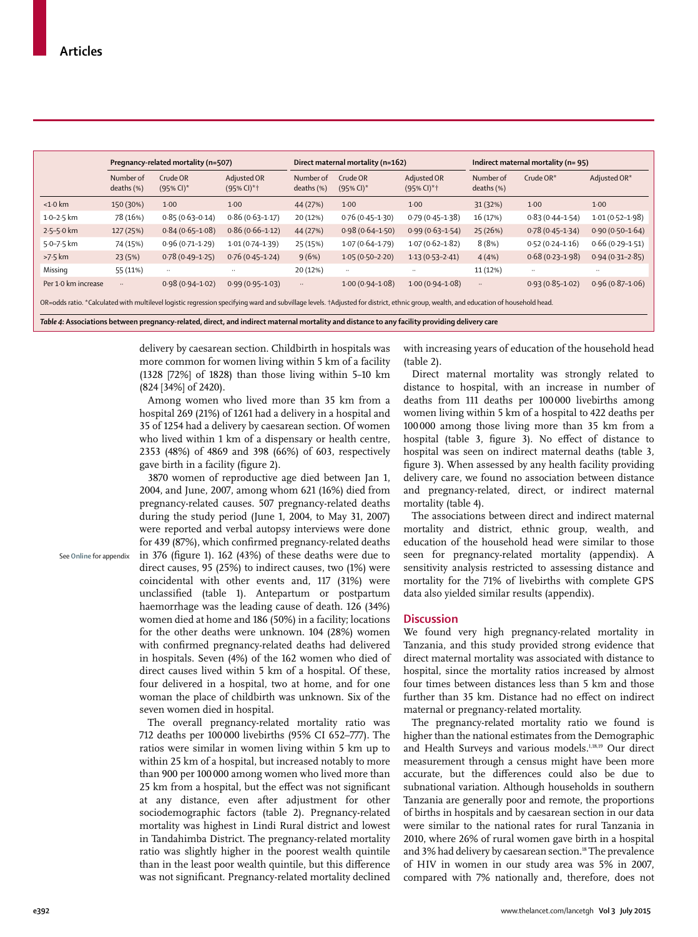|                                                                                                                                                                                      | Pregnancy-related mortality (n=507) |                                      |                                             | Direct maternal mortality (n=162) |                                      |                                 | Indirect maternal mortality (n=95) |                     |                     |
|--------------------------------------------------------------------------------------------------------------------------------------------------------------------------------------|-------------------------------------|--------------------------------------|---------------------------------------------|-----------------------------------|--------------------------------------|---------------------------------|------------------------------------|---------------------|---------------------|
|                                                                                                                                                                                      | Number of<br>deaths (%)             | Crude OR<br>$(95\%$ CI) <sup>*</sup> | Adjusted OR<br>$(95\%$ CI $)*$ <sup>+</sup> | Number of<br>deaths $(\%)$        | Crude OR<br>$(95\%$ CI) <sup>*</sup> | Adjusted OR<br>$(95\%$ CI $)*+$ | Number of<br>deaths (%)            | Crude $OR^*$        | Adjusted OR*        |
| $< 1.0$ km                                                                                                                                                                           | 150 (30%)                           | 1.00                                 | 1.00                                        | 44 (27%)                          | 1.00                                 | 1.00                            | 31 (32%)                           | $1-00$              | 1.00                |
| $1.0 - 2.5$ km                                                                                                                                                                       | 78 (16%)                            | $0.85(0.63 - 0.14)$                  | $0.86(0.63 - 1.17)$                         | 20 (12%)                          | $0.76(0.45 - 1.30)$                  | $0.79(0.45 - 1.38)$             | 16 (17%)                           | $0.83(0.44 - 1.54)$ | $1.01(0.52 - 1.98)$ |
| $2.5 - 5.0$ km                                                                                                                                                                       | 127 (25%)                           | $0.84(0.65 - 1.08)$                  | $0.86(0.66 - 1.12)$                         | 44 (27%)                          | $0.98(0.64 - 1.50)$                  | $0.99(0.63 - 1.54)$             | 25(26%)                            | $0.78(0.45 - 1.34)$ | $0.90(0.50-1.64)$   |
| 5.0-7.5 km                                                                                                                                                                           | 74 (15%)                            | $0.96(0.71 - 1.29)$                  | $1.01(0.74 - 1.39)$                         | 25 (15%)                          | $1.07(0.64 - 1.79)$                  | $1.07(0.62 - 1.82)$             | 8(8%)                              | $0.52(0.24 - 1.16)$ | $0.66(0.29-1.51)$   |
| $>7.5$ km                                                                                                                                                                            | 23(5%)                              | $0.78(0.49-1.25)$                    | $0.76(0.45 - 1.24)$                         | 9(6%)                             | $1.05(0.50-2.20)$                    | $1.13(0.53 - 2.41)$             | 4(4%)                              | $0.68(0.23 - 1.98)$ | $0.94(0.31 - 2.85)$ |
| Missing                                                                                                                                                                              | 55 (11%)                            | $\ddots$                             | $\cdot$ .                                   | 20 (12%)                          | $\ddots$                             | $\cdot$ .                       | 11 (12%)                           | $\ddotsc$           |                     |
| Per 1.0 km increase                                                                                                                                                                  | $\ldots$                            | $0.98(0.94 - 1.02)$                  | $0.99(0.95 - 1.03)$                         | $\ddotsc$                         | $1.00(0.94 - 1.08)$                  | $1.00(0.94 - 1.08)$             | $\ldots$                           | $0.93(0.85 - 1.02)$ | $0.96(0.87 - 1.06)$ |
| OR=odds ratio. *Calculated with multilevel logistic regression specifying ward and subvillage levels. +Adjusted for district, ethnic group, wealth, and education of household head. |                                     |                                      |                                             |                                   |                                      |                                 |                                    |                     |                     |

delivery by caesarean section. Childbirth in hospitals was more common for women living within 5 km of a facility (1328 [72%] of 1828) than those living within 5–10 km (824 [34%] of 2420).

Among women who lived more than 35 km from a hospital 269 (21%) of 1261 had a delivery in a hospital and 35 of 1254 had a delivery by caesarean section. Of women who lived within 1 km of a dispensary or health centre, 2353 (48%) of 4869 and 398 (66%) of 603, respectively gave birth in a facility (figure 2).

3870 women of reproductive age died between Jan 1, 2004, and June, 2007, among whom 621 (16%) died from pregnancy-related causes. 507 pregnancy-related deaths during the study period (June 1, 2004, to May 31, 2007) were reported and verbal autopsy interviews were done for 439 (87%), which confirmed pregnancy-related deaths in 376 (figure 1).  $162$  (43%) of these deaths were due to direct causes, 95 (25%) to indirect causes, two (1%) were coincidental with other events and, 117 (31%) were unclassified (table 1). Antepartum or postpartum haemorrhage was the leading cause of death. 126 (34%) women died at home and 186 (50%) in a facility; locations for the other deaths were unknown. 104 (28%) women with confirmed pregnancy-related deaths had delivered in hospitals. Seven (4%) of the 162 women who died of direct causes lived within 5 km of a hospital. Of these, four delivered in a hospital, two at home, and for one woman the place of childbirth was unknown. Six of the seven women died in hospital.

The overall pregnancy-related mortality ratio was 712 deaths per 100 000 livebirths (95% CI 652–777). The ratios were similar in women living within 5 km up to within 25 km of a hospital, but increased notably to more than 900 per 100 000 among women who lived more than 25 km from a hospital, but the effect was not significant at any distance, even after adjustment for other sociodemographic factors (table 2). Pregnancy-related mortality was highest in Lindi Rural district and lowest in Tandahimba District. The pregnancy-related mortality ratio was slightly higher in the poorest wealth quintile than in the least poor wealth quintile, but this difference was not significant. Pregnancy-related mortality declined with increasing years of education of the household head (table 2).

Direct maternal mortality was strongly related to distance to hospital, with an increase in number of deaths from 111 deaths per 100 000 livebirths among women living within 5 km of a hospital to 422 deaths per 100 000 among those living more than 35 km from a hospital (table 3, figure 3). No effect of distance to hospital was seen on indirect maternal deaths (table 3, figure 3). When assessed by any health facility providing delivery care, we found no association between distance and pregnancy-related, direct, or indirect maternal mortality (table 4).

The associations between direct and indirect maternal mortality and district, ethnic group, wealth, and education of the household head were similar to those seen for pregnancy-related mortality (appendix). A sensitivity analysis restricted to assessing distance and mortality for the 71% of livebirths with complete GPS data also yielded similar results (appendix).

## **Discussion**

We found very high pregnancy-related mortality in Tanzania, and this study provided strong evidence that direct maternal mortality was associated with distance to hospital, since the mortality ratios increased by almost four times between distances less than 5 km and those further than 35 km. Distance had no effect on indirect maternal or pregnancy-related mortality.

The pregnancy-related mortality ratio we found is higher than the national estimates from the Demographic and Health Surveys and various models.<sup>1,18,19</sup> Our direct measurement through a census might have been more accurate, but the differences could also be due to subnational variation. Although households in southern Tanzania are generally poor and remote, the proportions of births in hospitals and by caesarean section in our data were similar to the national rates for rural Tanzania in 2010, where 26% of rural women gave birth in a hospital and 3% had delivery by caesarean section.<sup>18</sup> The prevalence of HIV in women in our study area was 5% in 2007, compared with 7% nationally and, therefore, does not

See **Online** for appendix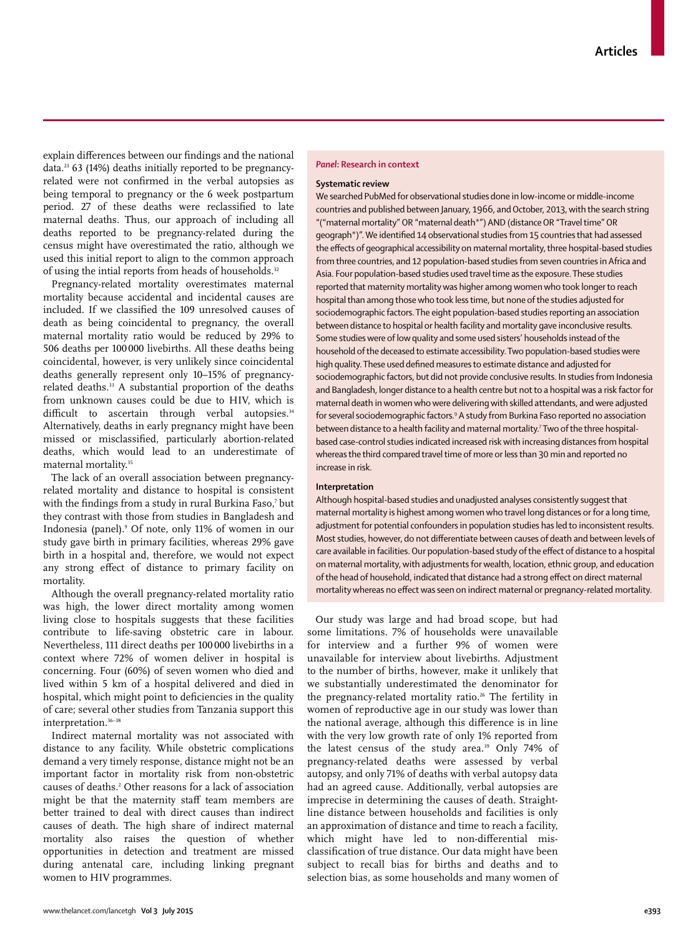explain differences between our findings and the national data.<sup>23</sup> 63 (14%) deaths initially reported to be pregnancyrelated were not confirmed in the verbal autopsies as being temporal to pregnancy or the 6 week postpartum period. 27 of these deaths were reclassified to late maternal deaths. Thus, our approach of including all deaths reported to be pregnancy-related during the census might have overestimated the ratio, although we used this initial report to align to the common approach of using the intial reports from heads of households.<sup>32</sup>

Pregnancy-related mortality overestimates maternal mortality because accidental and incidental causes are included. If we classified the 109 unresolved causes of death as being coincidental to pregnancy, the overall maternal mortality ratio would be reduced by 29% to 506 deaths per 100 000 livebirths. All these deaths being coincidental, however, is very unlikely since coincidental deaths generally represent only 10–15% of pregnancyrelated deaths.<sup>33</sup> A substantial proportion of the deaths from unknown causes could be due to HIV, which is difficult to ascertain through verbal autopsies.<sup>34</sup> Alternatively, deaths in early pregnancy might have been missed or misclassified, particularly abortion-related deaths, which would lead to an underestimate of maternal mortality.<sup>35</sup>

The lack of an overall association between pregnancyrelated mortality and distance to hospital is consistent with the findings from a study in rural Burkina Faso,<sup>7</sup> but they contrast with those from studies in Bangladesh and Indonesia (panel).9 Of note, only 11% of women in our study gave birth in primary facilities, whereas 29% gave birth in a hospital and, therefore, we would not expect any strong effect of distance to primary facility on mortality.

Although the overall pregnancy-related mortality ratio was high, the lower direct mortality among women living close to hospitals suggests that these facilities contribute to life-saving obstetric care in labour. Nevertheless, 111 direct deaths per 100 000 livebirths in a context where 72% of women deliver in hospital is concerning. Four (60%) of seven women who died and lived within 5 km of a hospital delivered and died in hospital, which might point to deficiencies in the quality of care; several other studies from Tanzania support this interpretation.36–38

Indirect maternal mortality was not associated with distance to any facility. While obstetric complications demand a very timely response, distance might not be an important factor in mortality risk from non-obstetric causes of deaths.2 Other reasons for a lack of association might be that the maternity staff team members are better trained to deal with direct causes than indirect causes of death. The high share of indirect maternal mortality also raises the question of whether opportunities in detection and treatment are missed during antenatal care, including linking pregnant women to HIV programmes.

## *Panel***: Research in context**

## **Systematic review**

We searched PubMed for observational studies done in low-income or middle-income countries and published between January, 1966, and October, 2013, with the search string "("maternal mortality" OR "maternal death\*") AND (distance OR "Travel time" OR geograph<sup>\*</sup>)". We identified 14 observational studies from 15 countries that had assessed the effects of geographical accessibility on maternal mortality, three hospital-based studies from three countries, and 12 population-based studies from seven countries in Africa and Asia. Four population-based studies used travel time as the exposure. These studies reported that maternity mortality was higher among women who took longer to reach hospital than among those who took less time, but none of the studies adjusted for sociodemographic factors. The eight population-based studies reporting an association between distance to hospital or health facility and mortality gave inconclusive results. Some studies were of low quality and some used sisters' households instead of the household of the deceased to estimate accessibility. Two population-based studies were high quality. These used defined measures to estimate distance and adjusted for sociodemographic factors, but did not provide conclusive results. In studies from Indonesia and Bangladesh, longer distance to a health centre but not to a hospital was a risk factor for maternal death in women who were delivering with skilled attendants, and were adjusted for several sociodemographic factors.9 A study from Burkina Faso reported no association between distance to a health facility and maternal mortality.7 Two of the three hospitalbased case-control studies indicated increased risk with increasing distances from hospital whereas the third compared travel time of more or less than 30 min and reported no increase in risk.

## **Interpretation**

Although hospital-based studies and unadjusted analyses consistently suggest that maternal mortality is highest among women who travel long distances or for a long time, adjustment for potential confounders in population studies has led to inconsistent results. Most studies, however, do not differentiate between causes of death and between levels of care available in facilities. Our population-based study of the effect of distance to a hospital on maternal mortality, with adjustments for wealth, location, ethnic group, and education of the head of household, indicated that distance had a strong effect on direct maternal mortality whereas no effect was seen on indirect maternal or pregnancy-related mortality.

Our study was large and had broad scope, but had some limitations. 7% of households were unavailable for interview and a further 9% of women were unavailable for interview about livebirths. Adjustment to the number of births, however, make it unlikely that we substantially underestimated the denominator for the pregnancy-related mortality ratio.<sup>26</sup> The fertility in women of reproductive age in our study was lower than the national average, although this difference is in line with the very low growth rate of only 1% reported from the latest census of the study area.<sup>39</sup> Only 74% of pregnancy-related deaths were assessed by verbal autopsy, and only 71% of deaths with verbal autopsy data had an agreed cause. Additionally, verbal autopsies are imprecise in determining the causes of death. Straightline distance between households and facilities is only an approximation of distance and time to reach a facility, which might have led to non-differential misclassification of true distance. Our data might have been subject to recall bias for births and deaths and to selection bias, as some households and many women of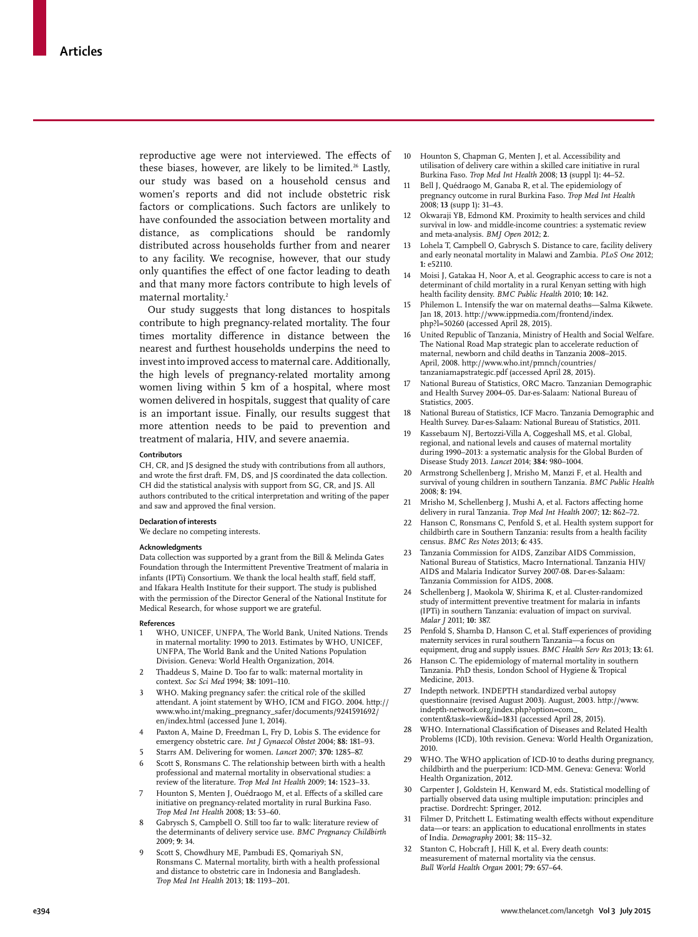reproductive age were not interviewed. The effects of these biases, however, are likely to be limited.<sup>26</sup> Lastly, our study was based on a household census and women's reports and did not include obstetric risk factors or complications. Such factors are unlikely to have confounded the association between mortality and distance, as complications should be randomly distributed across households further from and nearer to any facility. We recognise, however, that our study only quantifies the effect of one factor leading to death and that many more factors contribute to high levels of maternal mortality.2

Our study suggests that long distances to hospitals contribute to high pregnancy-related mortality. The four times mortality difference in distance between the nearest and furthest households underpins the need to invest into improved access to maternal care. Additionally, the high levels of pregnancy-related mortality among women living within 5 km of a hospital, where most women delivered in hospitals, suggest that quality of care is an important issue. Finally, our results suggest that more attention needs to be paid to prevention and treatment of malaria, HIV, and severe anaemia.

#### **Contributors**

CH, CR, and JS designed the study with contributions from all authors, and wrote the first draft. FM, DS, and JS coordinated the data collection. CH did the statistical analysis with support from SG, CR, and JS. All authors contributed to the critical interpretation and writing of the paper and saw and approved the final version.

#### **Declaration of interests**

We declare no competing interests.

#### **Acknowledgments**

Data collection was supported by a grant from the Bill & Melinda Gates Foundation through the Intermittent Preventive Treatment of malaria in infants (IPTi) Consortium. We thank the local health staff, field staff, and Ifakara Health Institute for their support. The study is published with the permission of the Director General of the National Institute for Medical Research, for whose support we are grateful.

## **References**

- WHO, UNICEF, UNFPA, The World Bank, United Nations. Trends in maternal mortality: 1990 to 2013. Estimates by WHO, UNICEF, UNFPA, The World Bank and the United Nations Population Division. Geneva: World Health Organization, 2014.
- 2 Thaddeus S, Maine D. Too far to walk: maternal mortality in context. *Soc Sci Med* 1994; **38:** 1091–110.
- 3 WHO. Making pregnancy safer: the critical role of the skilled attendant. A joint statement by WHO, ICM and FIGO. 2004. http:// www.who.int/making\_pregnancy\_safer/documents/9241591692/ en/index.html (accessed June 1, 2014).
- 4 Paxton A, Maine D, Freedman L, Fry D, Lobis S. The evidence for emergency obstetric care. *Int J Gynaecol Obstet* 2004; **88:** 181–93.
- 5 Starrs AM. Delivering for women. *Lancet* 2007; **370:** 1285–87.
- 6 Scott S, Ronsmans C. The relationship between birth with a health professional and maternal mortality in observational studies: a review of the literature. *Trop Med Int Health* 2009; **14:** 1523–33.
- Hounton S, Menten J, Ouédraogo M, et al. Effects of a skilled care initiative on pregnancy-related mortality in rural Burkina Faso. *Trop Med Int Health* 2008; **13:** 53–60.
- Gabrysch S, Campbell O. Still too far to walk: literature review of the determinants of delivery service use. *BMC Pregnancy Childbirth* 2009; **9:** 34.
- 9 Scott S, Chowdhury ME, Pambudi ES, Qomariyah SN, Ronsmans C. Maternal mortality, birth with a health professional and distance to obstetric care in Indonesia and Bangladesh. *Trop Med Int Health* 2013; **18:** 1193–201.
- 10 Hounton S, Chapman G, Menten J, et al. Accessibility and utilisation of delivery care within a skilled care initiative in rural Burkina Faso. *Trop Med Int Health* 2008; **13** (suppl 1)**:** 44–52.
- 11 Bell J, Quédraogo M, Ganaba R, et al. The epidemiology of pregnancy outcome in rural Burkina Faso. *Trop Med Int Health* 2008; **13** (supp 1)**:** 31–43.
- 12 Okwaraji YB, Edmond KM. Proximity to health services and child survival in low- and middle-income countries: a systematic review and meta-analysis. *BMJ Open* 2012; **2**.
- 13 Lohela T, Campbell O, Gabrysch S. Distance to care, facility delivery and early neonatal mortality in Malawi and Zambia. *PLoS One* 2012; **1:** e52110.
- Moisi J, Gatakaa H, Noor A, et al. Geographic access to care is not a determinant of child mortality in a rural Kenyan setting with high health facility density. *BMC Public Health* 2010; **10:** 142.
- Philemon L. Intensify the war on maternal deaths-Salma Kikwete. Jan 18, 2013. http://www.ippmedia.com/frontend/index. php?l=50260 (accessed April 28, 2015).
- 16 United Republic of Tanzania, Ministry of Health and Social Welfare. The National Road Map strategic plan to accelerate reduction of maternal, newborn and child deaths in Tanzania 2008–2015. April, 2008. http://www.who.int/pmnch/countries/ tanzaniamapstrategic.pdf (accessed April 28, 2015).
- 17 National Bureau of Statistics, ORC Macro. Tanzanian Demographic and Health Survey 2004–05. Dar-es-Salaam: National Bureau of Statistics, 2005.
- 18 National Bureau of Statistics, ICF Macro. Tanzania Demographic and Health Survey. Dar-es-Salaam: National Bureau of Statistics, 2011.
- 19 Kassebaum NJ, Bertozzi-Villa A, Coggeshall MS, et al. Global, regional, and national levels and causes of maternal mortality during 1990–2013: a systematic analysis for the Global Burden of Disease Study 2013. *Lancet* 2014; **384:** 980–1004.
- 20 Armstrong Schellenberg J, Mrisho M, Manzi F, et al. Health and survival of young children in southern Tanzania. *BMC Public Health* 2008; **8:** 194.
- 21 Mrisho M, Schellenberg J, Mushi A, et al. Factors affecting home delivery in rural Tanzania. *Trop Med Int Health* 2007; **12:** 862–72.
- 22 Hanson C, Ronsmans C, Penfold S, et al. Health system support for childbirth care in Southern Tanzania: results from a health facility census. *BMC Res Notes* 2013; **6:** 435.
- 23 Tanzania Commission for AIDS, Zanzibar AIDS Commission, National Bureau of Statistics, Macro International. Tanzania HIV/ AIDS and Malaria Indicator Survey 2007-08. Dar-es-Salaam: Tanzania Commission for AIDS, 2008.
- 24 Schellenberg J, Maokola W, Shirima K, et al. Cluster-randomized study of intermittent preventive treatment for malaria in infants (IPTi) in southern Tanzania: evaluation of impact on survival. *Malar J* 2011; **10:** 387.
- Penfold S, Shamba D, Hanson C, et al. Staff experiences of providing maternity services in rural southern Tanzania—a focus on equipment, drug and supply issues. *BMC Health Serv Res* 2013; **13:** 61.
- 26 Hanson C. The epidemiology of maternal mortality in southern Tanzania. PhD thesis, London School of Hygiene & Tropical Medicine, 2013.
- 27 Indepth network. INDEPTH standardized verbal autopsy questionnaire (revised August 2003). August, 2003. http://www. indepth-network.org/index.php?option=com\_ content&task=view&id=1831 (accessed April 28, 2015).
- WHO. International Classification of Diseases and Related Health Problems (ICD), 10th revision. Geneva: World Health Organization, 2010.
- 29 WHO. The WHO application of ICD-10 to deaths during pregnancy, childbirth and the puerperium: ICD-MM. Geneva: Geneva: World Health Organization, 2012.
- 30 Carpenter J, Goldstein H, Kenward M, eds. Statistical modelling of partially observed data using multiple imputation: principles and practise. Dordrecht: Springer, 2012.
- 31 Filmer D, Pritchett L. Estimating wealth effects without expenditure data—or tears: an application to educational enrollments in states of India. *Demography* 2001; **38:** 115–32.
- 32 Stanton C, Hobcraft J, Hill K, et al. Every death counts: measurement of maternal mortality via the census. *Bull World Health Organ* 2001; **79:** 657–64.